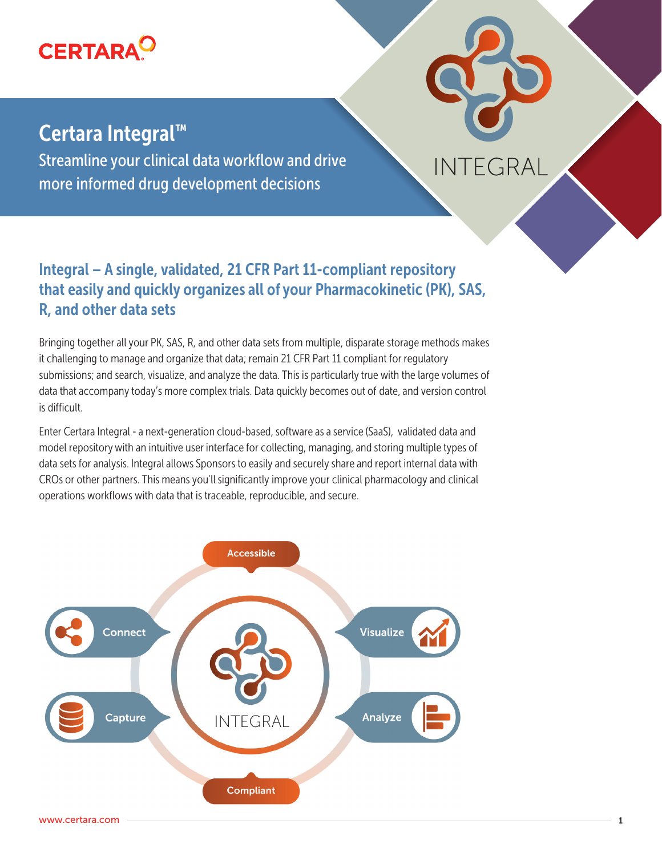

# Certara Integral™

Streamline your clinical data workflow and drive more informed drug development decisions

## Integral – A single, validated, 21 CFR Part 11-compliant repository that easily and quickly organizes all of your Pharmacokinetic (PK), SAS, R, and other data sets

**INTEGRAL** 

Bringing together all your PK, SAS, R, and other data sets from multiple, disparate storage methods makes it challenging to manage and organize that data; remain 21 CFR Part 11 compliant for regulatory submissions; and search, visualize, and analyze the data. This is particularly true with the large volumes of data that accompany today's more complex trials. Data quickly becomes out of date, and version control is difficult.

Enter Certara Integral - a next-generation cloud-based, software as a service (SaaS), validated data and model repository with an intuitive user interface for collecting, managing, and storing multiple types of data sets for analysis. Integral allows Sponsors to easily and securely share and report internal data with CROs or other partners. This means you'll significantly improve your clinical pharmacology and clinical operations workflows with data that is traceable, reproducible, and secure.